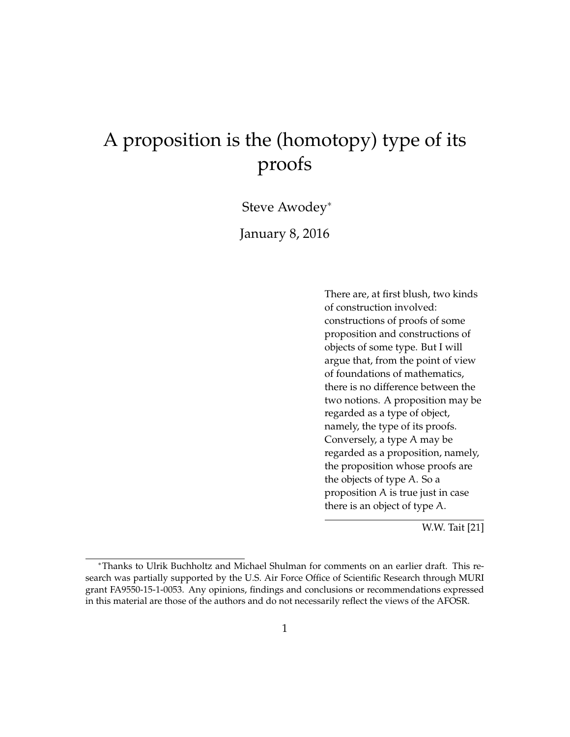# A proposition is the (homotopy) type of its proofs

Steve Awodey<sup>∗</sup>

January 8, 2016

There are, at first blush, two kinds of construction involved: constructions of proofs of some proposition and constructions of objects of some type. But I will argue that, from the point of view of foundations of mathematics, there is no difference between the two notions. A proposition may be regarded as a type of object, namely, the type of its proofs. Conversely, a type A may be regarded as a proposition, namely, the proposition whose proofs are the objects of type A. So a proposition A is true just in case there is an object of type A.

W.W. Tait [21]

<sup>∗</sup>Thanks to Ulrik Buchholtz and Michael Shulman for comments on an earlier draft. This research was partially supported by the U.S. Air Force Office of Scientific Research through MURI grant FA9550-15-1-0053. Any opinions, findings and conclusions or recommendations expressed in this material are those of the authors and do not necessarily reflect the views of the AFOSR.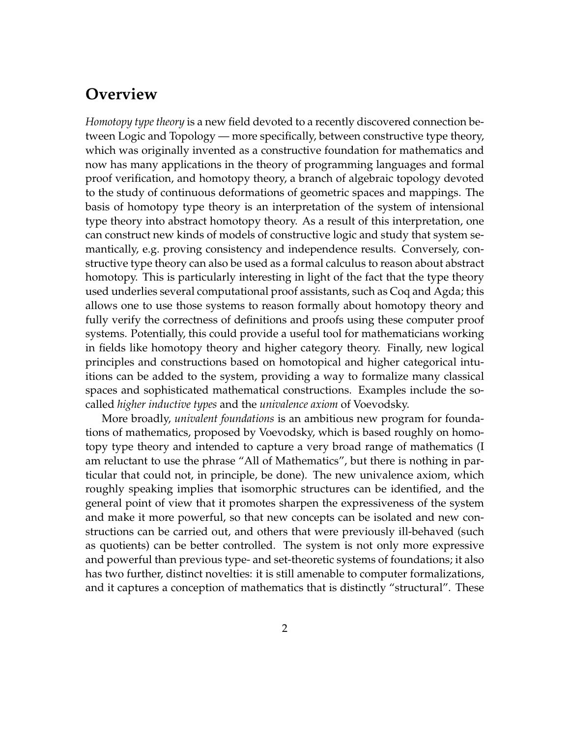### **Overview**

*Homotopy type theory* is a new field devoted to a recently discovered connection between Logic and Topology — more specifically, between constructive type theory, which was originally invented as a constructive foundation for mathematics and now has many applications in the theory of programming languages and formal proof verification, and homotopy theory, a branch of algebraic topology devoted to the study of continuous deformations of geometric spaces and mappings. The basis of homotopy type theory is an interpretation of the system of intensional type theory into abstract homotopy theory. As a result of this interpretation, one can construct new kinds of models of constructive logic and study that system semantically, e.g. proving consistency and independence results. Conversely, constructive type theory can also be used as a formal calculus to reason about abstract homotopy. This is particularly interesting in light of the fact that the type theory used underlies several computational proof assistants, such as Coq and Agda; this allows one to use those systems to reason formally about homotopy theory and fully verify the correctness of definitions and proofs using these computer proof systems. Potentially, this could provide a useful tool for mathematicians working in fields like homotopy theory and higher category theory. Finally, new logical principles and constructions based on homotopical and higher categorical intuitions can be added to the system, providing a way to formalize many classical spaces and sophisticated mathematical constructions. Examples include the socalled *higher inductive types* and the *univalence axiom* of Voevodsky.

More broadly, *univalent foundations* is an ambitious new program for foundations of mathematics, proposed by Voevodsky, which is based roughly on homotopy type theory and intended to capture a very broad range of mathematics (I am reluctant to use the phrase "All of Mathematics", but there is nothing in particular that could not, in principle, be done). The new univalence axiom, which roughly speaking implies that isomorphic structures can be identified, and the general point of view that it promotes sharpen the expressiveness of the system and make it more powerful, so that new concepts can be isolated and new constructions can be carried out, and others that were previously ill-behaved (such as quotients) can be better controlled. The system is not only more expressive and powerful than previous type- and set-theoretic systems of foundations; it also has two further, distinct novelties: it is still amenable to computer formalizations, and it captures a conception of mathematics that is distinctly "structural". These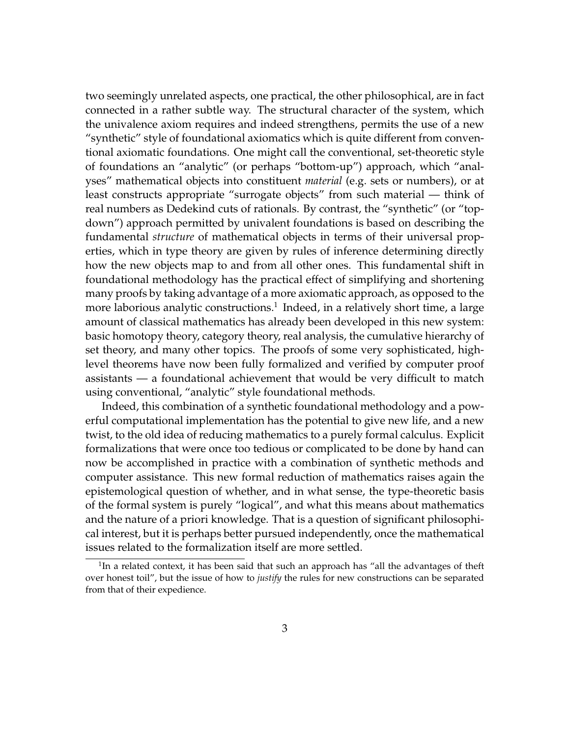two seemingly unrelated aspects, one practical, the other philosophical, are in fact connected in a rather subtle way. The structural character of the system, which the univalence axiom requires and indeed strengthens, permits the use of a new "synthetic" style of foundational axiomatics which is quite different from conventional axiomatic foundations. One might call the conventional, set-theoretic style of foundations an "analytic" (or perhaps "bottom-up") approach, which "analyses" mathematical objects into constituent *material* (e.g. sets or numbers), or at least constructs appropriate "surrogate objects" from such material — think of real numbers as Dedekind cuts of rationals. By contrast, the "synthetic" (or "topdown") approach permitted by univalent foundations is based on describing the fundamental *structure* of mathematical objects in terms of their universal properties, which in type theory are given by rules of inference determining directly how the new objects map to and from all other ones. This fundamental shift in foundational methodology has the practical effect of simplifying and shortening many proofs by taking advantage of a more axiomatic approach, as opposed to the more laborious analytic constructions. $^1$  Indeed, in a relatively short time, a large amount of classical mathematics has already been developed in this new system: basic homotopy theory, category theory, real analysis, the cumulative hierarchy of set theory, and many other topics. The proofs of some very sophisticated, highlevel theorems have now been fully formalized and verified by computer proof assistants — a foundational achievement that would be very difficult to match using conventional, "analytic" style foundational methods.

Indeed, this combination of a synthetic foundational methodology and a powerful computational implementation has the potential to give new life, and a new twist, to the old idea of reducing mathematics to a purely formal calculus. Explicit formalizations that were once too tedious or complicated to be done by hand can now be accomplished in practice with a combination of synthetic methods and computer assistance. This new formal reduction of mathematics raises again the epistemological question of whether, and in what sense, the type-theoretic basis of the formal system is purely "logical", and what this means about mathematics and the nature of a priori knowledge. That is a question of significant philosophical interest, but it is perhaps better pursued independently, once the mathematical issues related to the formalization itself are more settled.

 $1$ In a related context, it has been said that such an approach has "all the advantages of theft over honest toil", but the issue of how to *justify* the rules for new constructions can be separated from that of their expedience.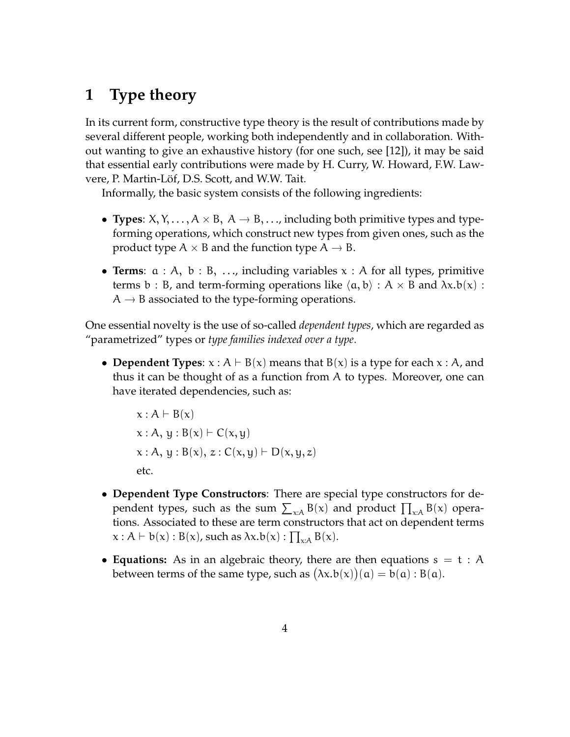# **1 Type theory**

In its current form, constructive type theory is the result of contributions made by several different people, working both independently and in collaboration. Without wanting to give an exhaustive history (for one such, see [12]), it may be said that essential early contributions were made by H. Curry, W. Howard, F.W. Lawvere, P. Martin-Löf, D.S. Scott, and W.W. Tait.

Informally, the basic system consists of the following ingredients:

- **Types**:  $X, Y, \ldots, A \times B, A \rightarrow B, \ldots$ , including both primitive types and typeforming operations, which construct new types from given ones, such as the product type  $A \times B$  and the function type  $A \rightarrow B$ .
- **Terms**:  $a : A$ ,  $b : B$ , ..., including variables  $x : A$  for all types, primitive terms b : B, and term-forming operations like  $\langle a, b \rangle : A \times B$  and  $\lambda x.b(x)$  :  $A \rightarrow B$  associated to the type-forming operations.

One essential novelty is the use of so-called *dependent types*, which are regarded as "parametrized" types or *type families indexed over a type*.

• **Dependent Types:**  $x : A \vdash B(x)$  means that  $B(x)$  is a type for each  $x : A$ , and thus it can be thought of as a function from A to types. Moreover, one can have iterated dependencies, such as:

 $x : A \vdash B(x)$  $x : A, y : B(x) \vdash C(x, y)$  $x : A, y : B(x), z : C(x, y) \vdash D(x, y, z)$ etc.

- **Dependent Type Constructors**: There are special type constructors for dependent types, such as the sum  $\sum_{x:A} B(x)$  and product  $\prod_{x:A} B(x)$  operations. Associated to these are term constructors that act on dependent terms  $x : A \vdash b(x) : B(x)$ , such as  $\lambda x.b(x) : \prod_{x : A} B(x)$ .
- **Equations:** As in an algebraic theory, there are then equations  $s = t : A$ between terms of the same type, such as  $(\lambda x.b(x))(a) = b(a) : B(a)$ .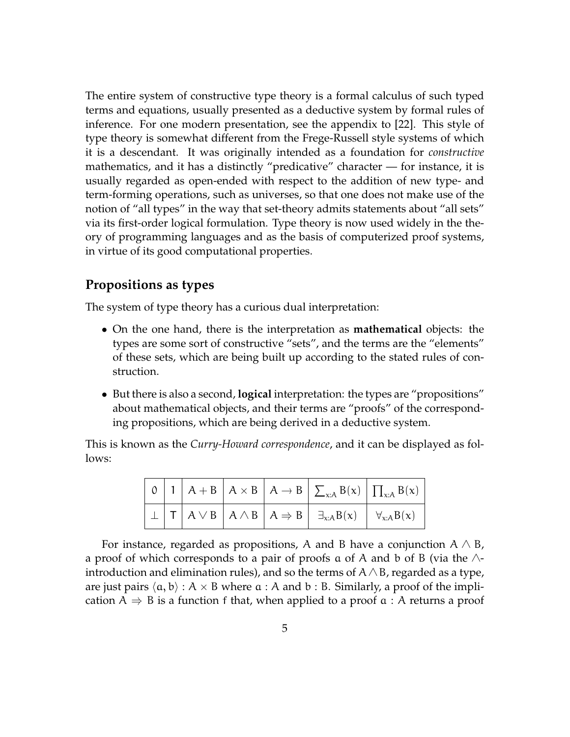The entire system of constructive type theory is a formal calculus of such typed terms and equations, usually presented as a deductive system by formal rules of inference. For one modern presentation, see the appendix to [22]. This style of type theory is somewhat different from the Frege-Russell style systems of which it is a descendant. It was originally intended as a foundation for *constructive* mathematics, and it has a distinctly "predicative" character — for instance, it is usually regarded as open-ended with respect to the addition of new type- and term-forming operations, such as universes, so that one does not make use of the notion of "all types" in the way that set-theory admits statements about "all sets" via its first-order logical formulation. Type theory is now used widely in the theory of programming languages and as the basis of computerized proof systems, in virtue of its good computational properties.

#### **Propositions as types**

The system of type theory has a curious dual interpretation:

- On the one hand, there is the interpretation as **mathematical** objects: the types are some sort of constructive "sets", and the terms are the "elements" of these sets, which are being built up according to the stated rules of construction.
- But there is also a second, **logical** interpretation: the types are "propositions" about mathematical objects, and their terms are "proofs" of the corresponding propositions, which are being derived in a deductive system.

This is known as the *Curry-Howard correspondence*, and it can be displayed as follows:

|  |  |  | $\begin{array}{ c c c c c }\hline \rule{0pt}{1.2ex}\rule{0pt}{0.2ex}\rule{0pt}{0.2ex}\hline \rule{0pt}{0.2ex}\rule{0pt}{0.2ex}\hline \rule{0pt}{0.2ex}\rule{0pt}{0.2ex}\hline \rule{0pt}{0.2ex}\rule{0pt}{0.2ex}\hline \rule{0pt}{0.2ex}\rule{0pt}{0.2ex}\hline \rule{0pt}{0.2ex}\hline \rule{0pt}{0.2ex}\hline \rule{0pt}{0.2ex}\hline \rule{0pt}{0.2ex}\hline \rule{0pt}{0.2ex}\hline \rule{0pt}{0.2ex}\$ |
|--|--|--|-------------------------------------------------------------------------------------------------------------------------------------------------------------------------------------------------------------------------------------------------------------------------------------------------------------------------------------------------------------------------------------------------------------|
|  |  |  | $\Big \perp\Big \intercal\Big \;{\sf A}\lor{\sf B}\;\Big \;{\sf A}\land{\sf B}\;\Big \;{\sf A}\Rightarrow{\sf B}\;\Big \;\;\exists_{\sf x:A}{\sf B}({\sf x})\;\;\Big \;\;\forall_{\sf x:A}{\sf B}({\sf x})\;\;\Big \;$                                                                                                                                                                                      |

For instance, regarded as propositions, A and B have a conjunction  $A \wedge B$ , a proof of which corresponds to a pair of proofs a of A and b of B (via the  $\wedge$ introduction and elimination rules), and so the terms of  $A \wedge B$ , regarded as a type, are just pairs  $\langle a, b \rangle : A \times B$  where  $a : A$  and  $b : B$ . Similarly, a proof of the implication  $A \Rightarrow B$  is a function f that, when applied to a proof  $\alpha : A$  returns a proof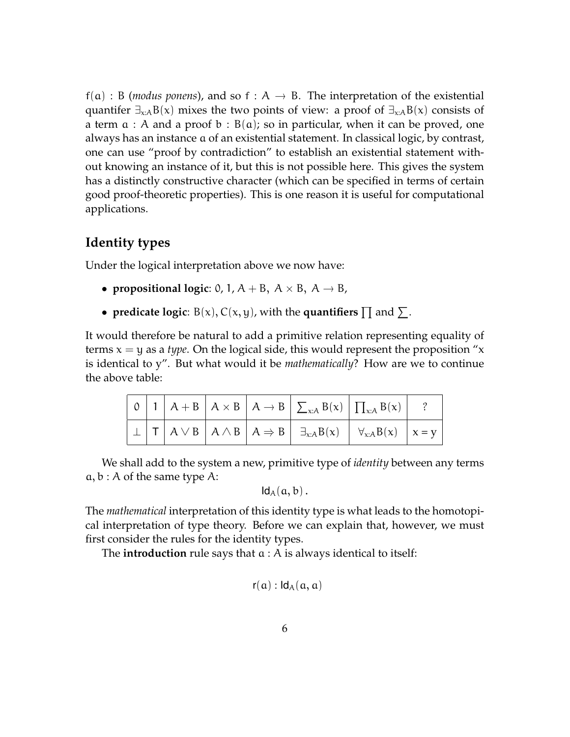$f(a) : B$  (*modus ponens*), and so  $f : A \rightarrow B$ . The interpretation of the existential quantifer  $\exists_{x:A} B(x)$  mixes the two points of view: a proof of  $\exists_{x:A} B(x)$  consists of a term  $a : A$  and a proof  $b : B(a)$ ; so in particular, when it can be proved, one always has an instance a of an existential statement. In classical logic, by contrast, one can use "proof by contradiction" to establish an existential statement without knowing an instance of it, but this is not possible here. This gives the system has a distinctly constructive character (which can be specified in terms of certain good proof-theoretic properties). This is one reason it is useful for computational applications.

#### **Identity types**

Under the logical interpretation above we now have:

- **propositional logic**: 0, 1,  $A + B$ ,  $A \times B$ ,  $A \rightarrow B$ ,
- **predicate logic**:  $B(x)$ ,  $C(x, y)$ , with the **quantifiers**  $\Pi$  and  $\Sigma$ .

It would therefore be natural to add a primitive relation representing equality of terms  $x = y$  as a *type*. On the logical side, this would represent the proposition "x" is identical to y". But what would it be *mathematically*? How are we to continue the above table:

|  |  |  | $\begin{array}{ c c c c c c c c } \hline \circ & 1 & A+B & A\times B & A\to B & \sum_{x:A} \mathrm{B(x)} & \prod_{x:A} \mathrm{B(x)} & ? \ \hline \end{array}$ |  |
|--|--|--|----------------------------------------------------------------------------------------------------------------------------------------------------------------|--|
|  |  |  | $\left  \begin{array}{c c c c} \bot & \top & A \vee B & A \wedge B & A \Rightarrow B & \exists_{x:A} B(x) & \forall_{x:A} B(x) & x = y \end{array} \right $    |  |

We shall add to the system a new, primitive type of *identity* between any terms  $a, b : A$  of the same type A:

$$
Id_A(a,b).
$$

The *mathematical* interpretation of this identity type is what leads to the homotopical interpretation of type theory. Before we can explain that, however, we must first consider the rules for the identity types.

The **introduction** rule says that a : A is always identical to itself:

$$
r(a): \mathsf{Id}_A(a,a)
$$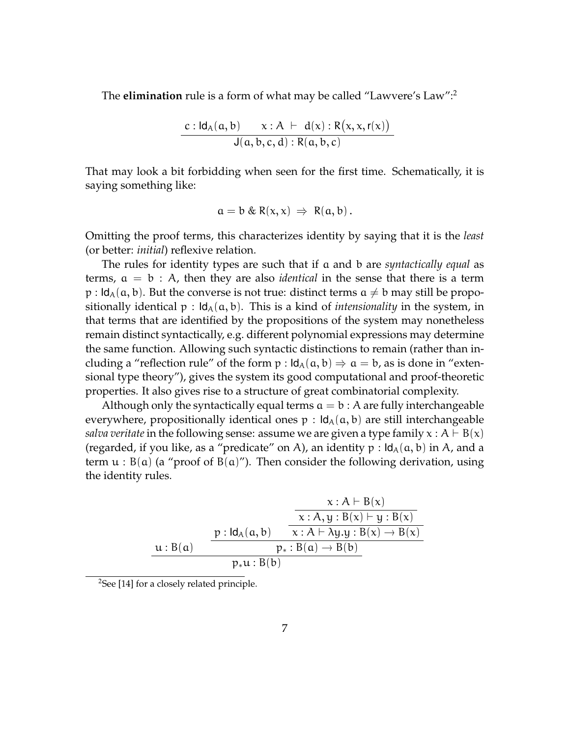The **elimination** rule is a form of what may be called "Lawvere's Law":<sup>2</sup>

$$
\frac{c: \mathsf{Id}_A(a, b) \qquad x: A \ \vdash \ d(x): \mathsf{R}\big(x, x, r(x)\big)}{\mathsf{J}(a, b, c, d): \mathsf{R}(a, b, c)}
$$

That may look a bit forbidding when seen for the first time. Schematically, it is saying something like:

$$
a = b \& R(x, x) \Rightarrow R(a, b).
$$

Omitting the proof terms, this characterizes identity by saying that it is the *least* (or better: *initial*) reflexive relation.

The rules for identity types are such that if a and b are *syntactically equal* as terms,  $a = b : A$ , then they are also *identical* in the sense that there is a term  $p : \mathsf{Id}_{\mathsf{A}}(a, b)$ . But the converse is not true: distinct terms  $a \neq b$  may still be propositionally identical  $p : Id_A(a, b)$ . This is a kind of *intensionality* in the system, in that terms that are identified by the propositions of the system may nonetheless remain distinct syntactically, e.g. different polynomial expressions may determine the same function. Allowing such syntactic distinctions to remain (rather than including a "reflection rule" of the form  $p : \text{Id}_{A}(a, b) \Rightarrow a = b$ , as is done in "extensional type theory"), gives the system its good computational and proof-theoretic properties. It also gives rise to a structure of great combinatorial complexity.

Although only the syntactically equal terms  $a = b : A$  are fully interchangeable everywhere, propositionally identical ones  $p : \mathsf{Id}_A(a, b)$  are still interchangeable *salva veritate* in the following sense: assume we are given a type family  $x : A \vdash B(x)$ (regarded, if you like, as a "predicate" on A), an identity  $p : \text{Id}_A(a, b)$  in A, and a term  $u : B(a)$  (a "proof of  $B(a)$ "). Then consider the following derivation, using the identity rules.

$$
\begin{array}{c|c} \hline x:A\vdash B(x)\\ \hline x:A,y:B(x)\vdash y:B(x)\\\hline x:A\vdash \lambda y:y:B(x)\to B(x)\\\hline x:A\vdash \lambda y.y:B(x)\to B(x)\\\hline p_{*}u:B(b)\\ \hline\end{array}
$$

<sup>2</sup>See [14] for a closely related principle.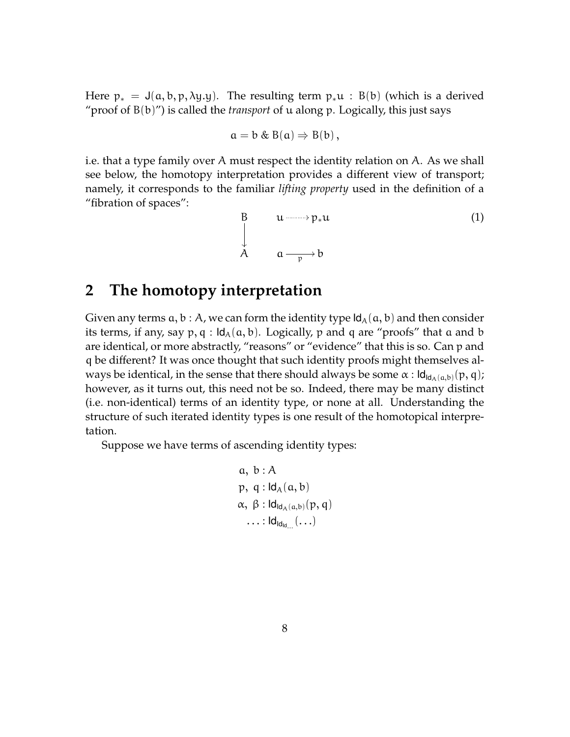Here  $p_* = J(a, b, p, \lambda y, y)$ . The resulting term  $p_*\mathfrak{u} : B(b)$  (which is a derived "proof of  $B(b)$ ") is called the *transport* of u along p. Logically, this just says

$$
a = b \& B(a) \Rightarrow B(b),
$$

i.e. that a type family over A must respect the identity relation on A. As we shall see below, the homotopy interpretation provides a different view of transport; namely, it corresponds to the familiar *lifting property* used in the definition of a "fibration of spaces":



# **2 The homotopy interpretation**

Given any terms  $a, b : A$ , we can form the identity type  $\mathsf{Id}_A(a, b)$  and then consider its terms, if any, say  $p, q : \text{Id}_A(a, b)$ . Logically, p and q are "proofs" that a and b are identical, or more abstractly, "reasons" or "evidence" that this is so. Can p and q be different? It was once thought that such identity proofs might themselves always be identical, in the sense that there should always be some  $\alpha$  :  $\text{Id}_{\text{Id}_{A}(a,b)}(p,q)$ ; however, as it turns out, this need not be so. Indeed, there may be many distinct (i.e. non-identical) terms of an identity type, or none at all. Understanding the structure of such iterated identity types is one result of the homotopical interpretation.

Suppose we have terms of ascending identity types:

$$
\begin{aligned}\na, b : A \\
p, q : Id_A(a, b) \\
\alpha, \beta : Id_{Id_A(a, b)}(p, q) \\
\ldots : Id_{Id_{Id_{nd...}}}(\ldots)\n\end{aligned}
$$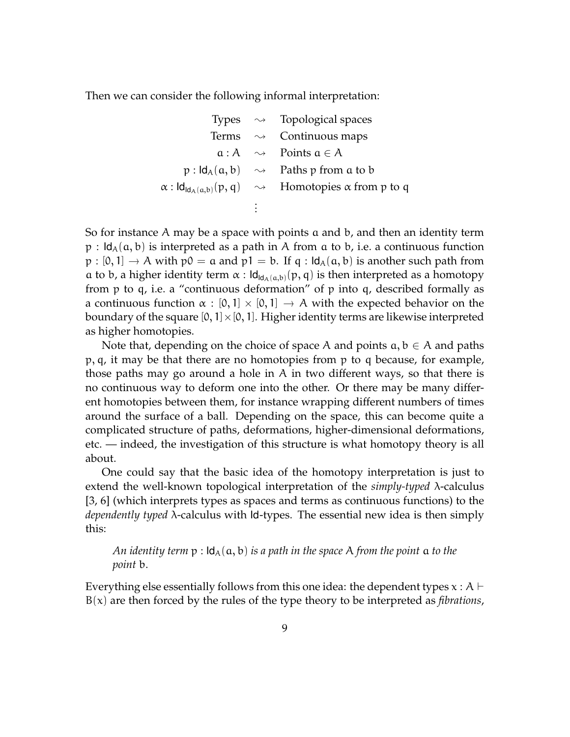Then we can consider the following informal interpretation:

Types  $\rightsquigarrow$  Topological spaces Terms  $\sim$  Continuous maps  $a : A \rightarrow$  Points  $a \in A$  $p : \mathsf{Id}_A(a, b) \longrightarrow$  Paths p from a to b  $\alpha$  :  $\mathsf{Id}_{\mathsf{Id}_A(a,b)}(p,q) \longrightarrow \mathsf{Homotopies}\ \alpha$  from p to q . . .

So for instance A may be a space with points a and b, and then an identity term  $p : Id_A(a, b)$  is interpreted as a path in A from a to b, i.e. a continuous function  $p : [0, 1] \rightarrow A$  with  $p0 = a$  and  $p1 = b$ . If q :  $\mathsf{Id}_A(a, b)$  is another such path from a to b, a higher identity term  $\alpha$  :  $\mathsf{Id}_{\mathsf{Id}_A(a,b)}(p,q)$  is then interpreted as a homotopy from p to q, i.e. a "continuous deformation" of p into q, described formally as a continuous function  $\alpha : [0,1] \times [0,1] \rightarrow A$  with the expected behavior on the boundary of the square  $[0, 1] \times [0, 1]$ . Higher identity terms are likewise interpreted as higher homotopies.

Note that, depending on the choice of space A and points  $a, b \in A$  and paths p, q, it may be that there are no homotopies from p to q because, for example, those paths may go around a hole in A in two different ways, so that there is no continuous way to deform one into the other. Or there may be many different homotopies between them, for instance wrapping different numbers of times around the surface of a ball. Depending on the space, this can become quite a complicated structure of paths, deformations, higher-dimensional deformations, etc. — indeed, the investigation of this structure is what homotopy theory is all about.

One could say that the basic idea of the homotopy interpretation is just to extend the well-known topological interpretation of the *simply-typed* λ-calculus [3, 6] (which interprets types as spaces and terms as continuous functions) to the *dependently typed* λ-calculus with Id-types. The essential new idea is then simply this:

#### *An identity term*  $p : \text{Id}_A(a, b)$  *is a path in the space A from the point* a *to the point* b.

Everything else essentially follows from this one idea: the dependent types  $x : A \vdash$ B(x) are then forced by the rules of the type theory to be interpreted as *fibrations*,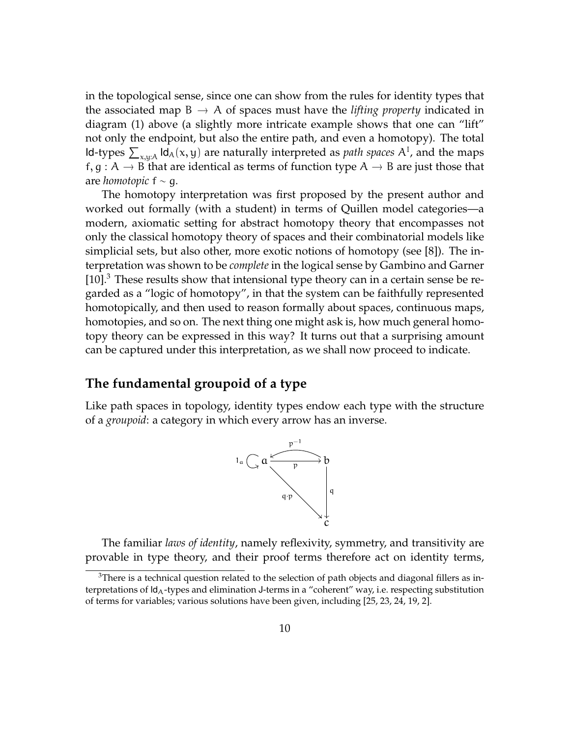in the topological sense, since one can show from the rules for identity types that the associated map  $B \to A$  of spaces must have the *lifting property* indicated in diagram (1) above (a slightly more intricate example shows that one can "lift" not only the endpoint, but also the entire path, and even a homotopy). The total Id-types  $\sum_{x,y:A}$  Id<sub>A</sub>(x, y) are naturally interpreted as *path spaces* A<sup>I</sup>, and the maps f, g :  $A \rightarrow B$  that are identical as terms of function type  $A \rightarrow B$  are just those that are *homotopic* f ∼ g.

The homotopy interpretation was first proposed by the present author and worked out formally (with a student) in terms of Quillen model categories—a modern, axiomatic setting for abstract homotopy theory that encompasses not only the classical homotopy theory of spaces and their combinatorial models like simplicial sets, but also other, more exotic notions of homotopy (see [8]). The interpretation was shown to be *complete* in the logical sense by Gambino and Garner  $[10]$ .<sup>3</sup> These results show that intensional type theory can in a certain sense be regarded as a "logic of homotopy", in that the system can be faithfully represented homotopically, and then used to reason formally about spaces, continuous maps, homotopies, and so on. The next thing one might ask is, how much general homotopy theory can be expressed in this way? It turns out that a surprising amount can be captured under this interpretation, as we shall now proceed to indicate.

#### **The fundamental groupoid of a type**

Like path spaces in topology, identity types endow each type with the structure of a *groupoid*: a category in which every arrow has an inverse.



The familiar *laws of identity*, namely reflexivity, symmetry, and transitivity are provable in type theory, and their proof terms therefore act on identity terms,

 $3$ There is a technical question related to the selection of path objects and diagonal fillers as interpretations of  $Id_A$ -types and elimination J-terms in a "coherent" way, i.e. respecting substitution of terms for variables; various solutions have been given, including [25, 23, 24, 19, 2].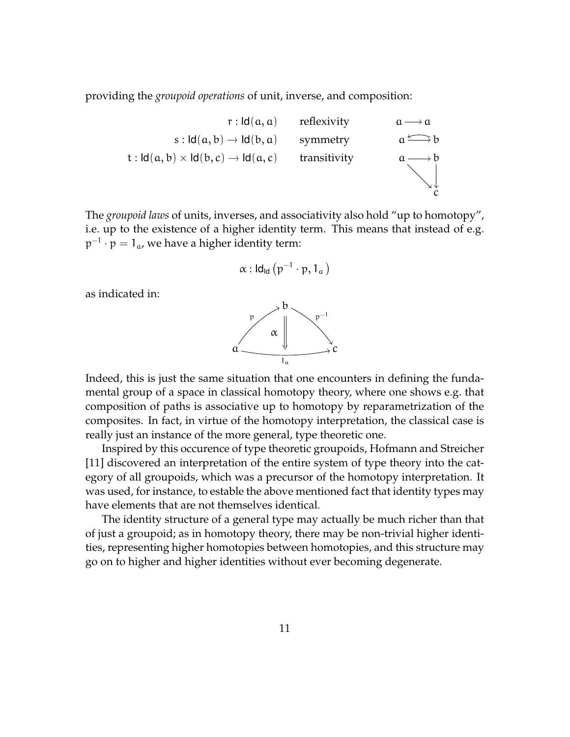providing the *groupoid operations* of unit, inverse, and composition:

$$
r: Id(a, a) \qquad \text{reflexivity} \qquad a \longrightarrow a
$$
\n
$$
s: Id(a, b) \rightarrow Id(b, a) \qquad \text{symmetry} \qquad a \longrightarrow b
$$
\n
$$
t: Id(a, b) \times Id(b, c) \rightarrow Id(a, c) \qquad \text{transitivity} \qquad a \longrightarrow b
$$
\n
$$
\downarrow
$$
\n
$$
\downarrow
$$
\n
$$
\downarrow
$$

The *groupoid laws* of units, inverses, and associativity also hold "up to homotopy", i.e. up to the existence of a higher identity term. This means that instead of e.g.  $\mathfrak{p}^{-1}\cdot \mathfrak{p}=1$  a, we have a higher identity term:

$$
\alpha:\text{Id}_{\text{Id}}\left(p^{-1}\cdot p,1_{\mathfrak{a}}\right)
$$

as indicated in:



Indeed, this is just the same situation that one encounters in defining the fundamental group of a space in classical homotopy theory, where one shows e.g. that composition of paths is associative up to homotopy by reparametrization of the composites. In fact, in virtue of the homotopy interpretation, the classical case is really just an instance of the more general, type theoretic one.

Inspired by this occurence of type theoretic groupoids, Hofmann and Streicher [11] discovered an interpretation of the entire system of type theory into the category of all groupoids, which was a precursor of the homotopy interpretation. It was used, for instance, to estable the above mentioned fact that identity types may have elements that are not themselves identical.

The identity structure of a general type may actually be much richer than that of just a groupoid; as in homotopy theory, there may be non-trivial higher identities, representing higher homotopies between homotopies, and this structure may go on to higher and higher identities without ever becoming degenerate.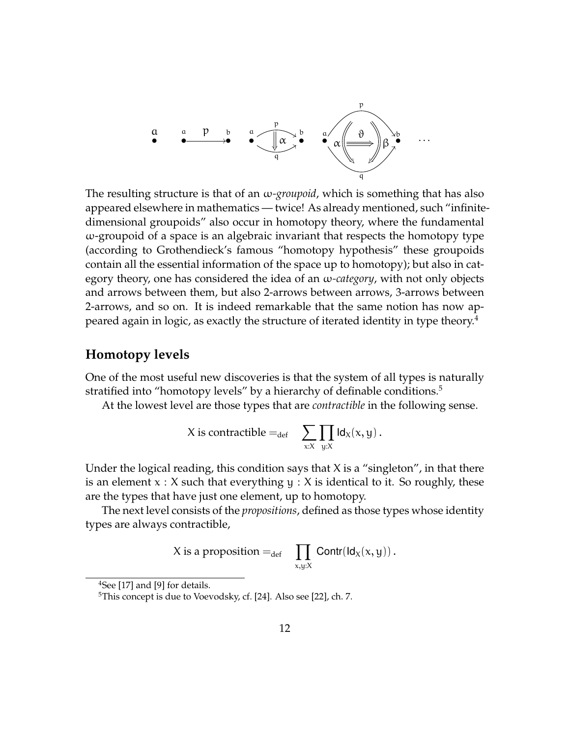• a • a • b / p • a • b p \$ q :: α ! α } \*4 β ϑ • a • b p q DD . . .

The resulting structure is that of an ω*-groupoid*, which is something that has also appeared elsewhere in mathematics — twice! As already mentioned, such "infinitedimensional groupoids" also occur in homotopy theory, where the fundamental ω-groupoid of a space is an algebraic invariant that respects the homotopy type (according to Grothendieck's famous "homotopy hypothesis" these groupoids contain all the essential information of the space up to homotopy); but also in category theory, one has considered the idea of an ω*-category*, with not only objects and arrows between them, but also 2-arrows between arrows, 3-arrows between 2-arrows, and so on. It is indeed remarkable that the same notion has now appeared again in logic, as exactly the structure of iterated identity in type theory.<sup>4</sup>

#### **Homotopy levels**

One of the most useful new discoveries is that the system of all types is naturally stratified into "homotopy levels" by a hierarchy of definable conditions.<sup>5</sup>

At the lowest level are those types that are *contractible* in the following sense.

$$
X \text{ is contractible} =_{\text{def}} \quad \sum_{x:X} \prod_{y:X} \text{Id}_X(x,y) \,.
$$

Under the logical reading, this condition says that  $X$  is a "singleton", in that there is an element  $x : X$  such that everything  $y : X$  is identical to it. So roughly, these are the types that have just one element, up to homotopy.

The next level consists of the *propositions*, defined as those types whose identity types are always contractible,

$$
X \text{ is a proposition} =_{\text{def}} \prod_{x,y:X} \text{Contr}(Id_X(x,y)).
$$

 $4$ See [17] and [9] for details.

<sup>5</sup>This concept is due to Voevodsky, cf. [24]. Also see [22], ch. 7.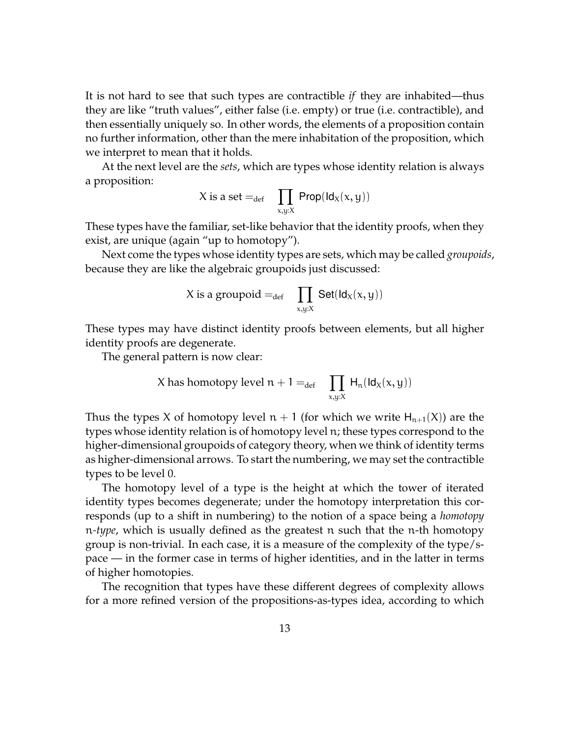It is not hard to see that such types are contractible *if* they are inhabited—thus they are like "truth values", either false (i.e. empty) or true (i.e. contractible), and then essentially uniquely so. In other words, the elements of a proposition contain no further information, other than the mere inhabitation of the proposition, which we interpret to mean that it holds.

At the next level are the *sets*, which are types whose identity relation is always a proposition:

$$
X \text{ is a set } =_{\text{def}} \prod_{x,y:X} \text{Prop}(\text{Id}_X(x,y))
$$

These types have the familiar, set-like behavior that the identity proofs, when they exist, are unique (again "up to homotopy").

Next come the types whose identity types are sets, which may be called *groupoids*, because they are like the algebraic groupoids just discussed:

$$
X \text{ is a groupoid} =_{\text{def}} \prod_{x,y:X} \text{Set}(\text{Id}_X(x,y))
$$

These types may have distinct identity proofs between elements, but all higher identity proofs are degenerate.

The general pattern is now clear:

$$
X \text{ has homotopy level } n+1 =_{def} \prod_{x,y:X} H_n(\text{Id}_X(x,y))
$$

Thus the types X of homotopy level  $n + 1$  (for which we write  $H_{n+1}(X)$ ) are the types whose identity relation is of homotopy level n; these types correspond to the higher-dimensional groupoids of category theory, when we think of identity terms as higher-dimensional arrows. To start the numbering, we may set the contractible types to be level 0.

The homotopy level of a type is the height at which the tower of iterated identity types becomes degenerate; under the homotopy interpretation this corresponds (up to a shift in numbering) to the notion of a space being a *homotopy* n*-type*, which is usually defined as the greatest n such that the n-th homotopy group is non-trivial. In each case, it is a measure of the complexity of the type/space — in the former case in terms of higher identities, and in the latter in terms of higher homotopies.

The recognition that types have these different degrees of complexity allows for a more refined version of the propositions-as-types idea, according to which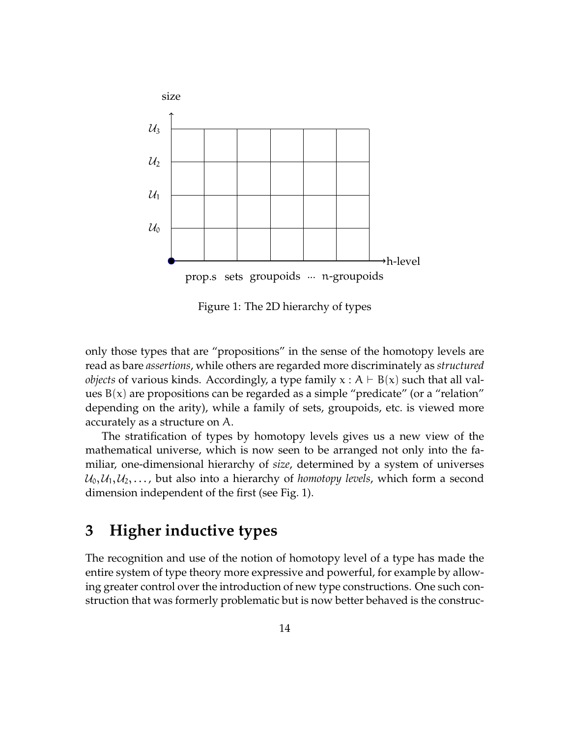

Figure 1: The 2D hierarchy of types

only those types that are "propositions" in the sense of the homotopy levels are read as bare *assertions*, while others are regarded more discriminately as *structured objects* of various kinds. Accordingly, a type family  $x : A \vdash B(x)$  such that all values  $B(x)$  are propositions can be regarded as a simple "predicate" (or a "relation" depending on the arity), while a family of sets, groupoids, etc. is viewed more accurately as a structure on A.

The stratification of types by homotopy levels gives us a new view of the mathematical universe, which is now seen to be arranged not only into the familiar, one-dimensional hierarchy of *size*, determined by a system of universes  $U_0, U_1, U_2, \ldots$ , but also into a hierarchy of *homotopy levels*, which form a second dimension independent of the first (see Fig. 1).

# **3 Higher inductive types**

The recognition and use of the notion of homotopy level of a type has made the entire system of type theory more expressive and powerful, for example by allowing greater control over the introduction of new type constructions. One such construction that was formerly problematic but is now better behaved is the construc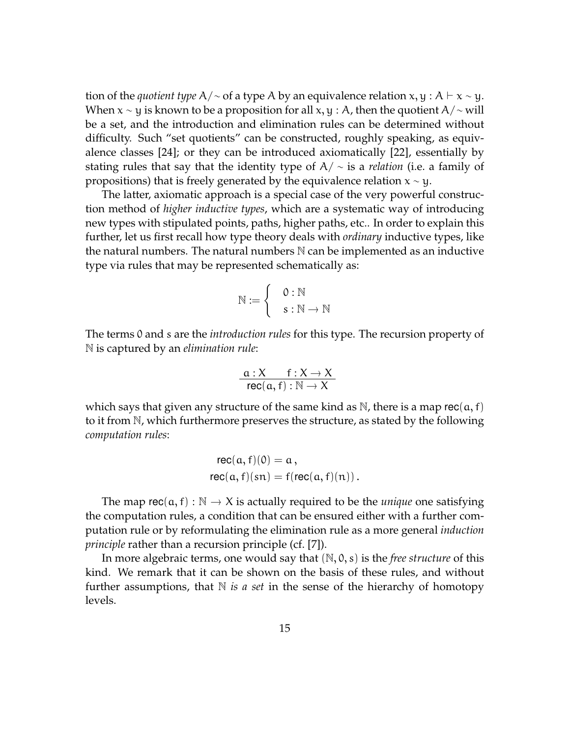tion of the *quotient type*  $A$ /∼ of a type A by an equivalence relation  $x, y : A \vdash x \sim y$ . When  $x \sim y$  is known to be a proposition for all  $x, y : A$ , then the quotient  $A / \sim$  will be a set, and the introduction and elimination rules can be determined without difficulty. Such "set quotients" can be constructed, roughly speaking, as equivalence classes [24]; or they can be introduced axiomatically [22], essentially by stating rules that say that the identity type of A/ ∼ is a *relation* (i.e. a family of propositions) that is freely generated by the equivalence relation  $x \sim y$ .

The latter, axiomatic approach is a special case of the very powerful construction method of *higher inductive types*, which are a systematic way of introducing new types with stipulated points, paths, higher paths, etc.. In order to explain this further, let us first recall how type theory deals with *ordinary* inductive types, like the natural numbers. The natural numbers  $\mathbb N$  can be implemented as an inductive type via rules that may be represented schematically as:

$$
\mathbb{N}:=\left\{\begin{array}{c}0:\mathbb{N} \\ s:\mathbb{N}\to\mathbb{N}\end{array}\right.
$$

The terms 0 and s are the *introduction rules* for this type. The recursion property of N is captured by an *elimination rule*:

$$
\frac{\mathfrak{a}:X \qquad f:X\to X}{\mathsf{rec}(\mathfrak{a},f):\mathbb{N}\to X}
$$

which says that given any structure of the same kind as N, there is a map rec( $(a, f)$ ) to it from N, which furthermore preserves the structure, as stated by the following *computation rules*:

$$
rec(a, f)(0) = a,
$$
  

$$
rec(a, f)(sn) = f(rec(a, f)(n)).
$$

The map rec( $a, f$ ) :  $\mathbb{N} \to X$  is actually required to be the *unique* one satisfying the computation rules, a condition that can be ensured either with a further computation rule or by reformulating the elimination rule as a more general *induction principle* rather than a recursion principle (cf. [7]).

In more algebraic terms, one would say that (N, 0, s) is the *free structure* of this kind. We remark that it can be shown on the basis of these rules, and without further assumptions, that N *is a set* in the sense of the hierarchy of homotopy levels.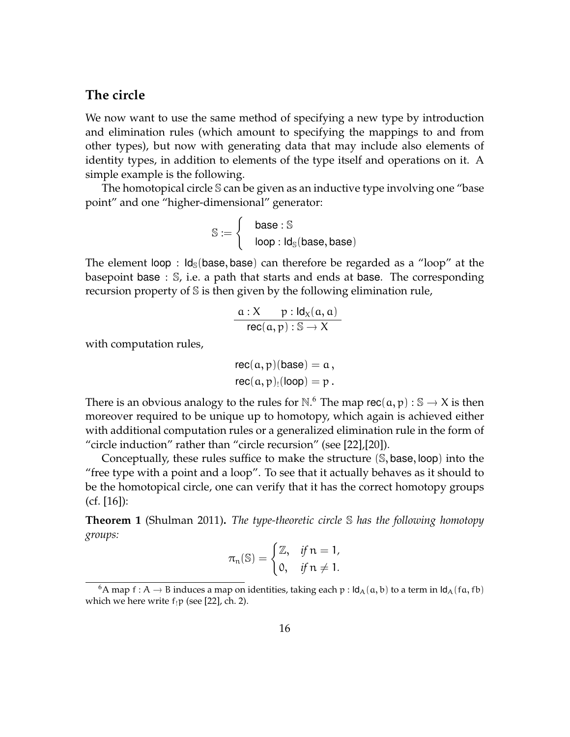#### **The circle**

We now want to use the same method of specifying a new type by introduction and elimination rules (which amount to specifying the mappings to and from other types), but now with generating data that may include also elements of identity types, in addition to elements of the type itself and operations on it. A simple example is the following.

The homotopical circle S can be given as an inductive type involving one "base point" and one "higher-dimensional" generator:

$$
\mathbb{S}:=\left\{\quad \begin{array}{c} \text{base}:\mathbb{S} \\ \text{loop}: \text{Id}_{\mathbb{S}}(\text{base}, \text{base}) \end{array}\right.
$$

The element loop :  $\log(\text{base}, \text{base})$  can therefore be regarded as a "loop" at the basepoint base : S, i.e. a path that starts and ends at base. The corresponding recursion property of S is then given by the following elimination rule,

$$
\frac{a: X \qquad p: \mathsf{Id}_X(a, a)}{\mathsf{rec}(a, p) : \mathbb{S} \to X}
$$

with computation rules,

$$
rec(a, p)(base) = a,
$$
  

$$
rec(a, p)_!(loop) = p.
$$

There is an obvious analogy to the rules for  $\mathbb{N}^6$ . The map  $\text{rec}(a, p) : \mathbb{S} \to X$  is then moreover required to be unique up to homotopy, which again is achieved either with additional computation rules or a generalized elimination rule in the form of "circle induction" rather than "circle recursion" (see [22],[20]).

Conceptually, these rules suffice to make the structure (S, base, loop) into the "free type with a point and a loop". To see that it actually behaves as it should to be the homotopical circle, one can verify that it has the correct homotopy groups (cf. [16]):

**Theorem 1** (Shulman 2011)**.** *The type-theoretic circle* S *has the following homotopy groups:*

$$
\pi_n(\mathbb{S}) = \begin{cases} \mathbb{Z}, & \text{if } n = 1, \\ 0, & \text{if } n \neq 1. \end{cases}
$$

<sup>6</sup>A map f : A  $\rightarrow$  B induces a map on identities, taking each p :  $\mathsf{Id}_A(a, b)$  to a term in  $\mathsf{Id}_A(fa, fb)$ which we here write  $f_!p$  (see [22], ch. 2).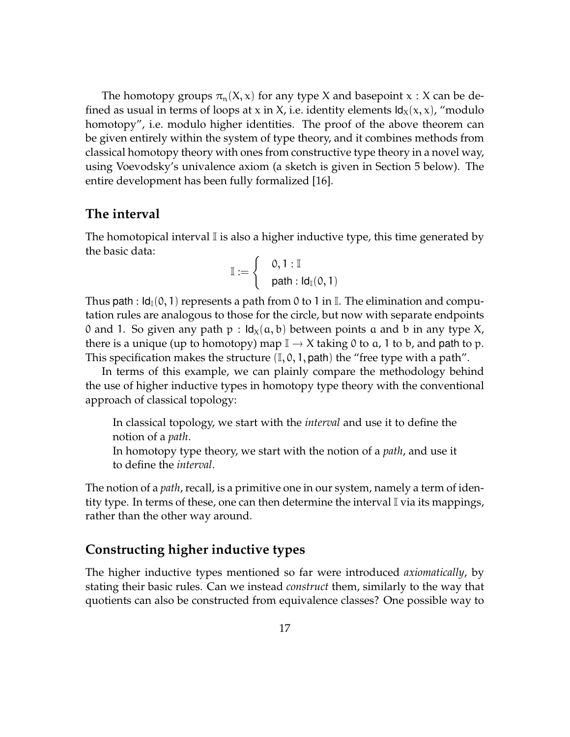The homotopy groups  $\pi_n(X, x)$  for any type X and basepoint  $x : X$  can be defined as usual in terms of loops at x in X, i.e. identity elements  $\mathsf{Id}_{\mathsf{X}}(x, x)$ , "modulo homotopy", i.e. modulo higher identities. The proof of the above theorem can be given entirely within the system of type theory, and it combines methods from classical homotopy theory with ones from constructive type theory in a novel way, using Voevodsky's univalence axiom (a sketch is given in Section 5 below). The entire development has been fully formalized [16].

#### **The interval**

The homotopical interval  $\mathbb I$  is also a higher inductive type, this time generated by the basic data:

$$
\mathbb{I}:=\left\{\begin{array}{c}0,1:\mathbb{I}\\path:\mathsf{Id}_{\mathbb{I}}(0,1)\end{array}\right.
$$

Thus path :  $Id_{\mathbb{I}}(0,1)$  represents a path from 0 to 1 in I. The elimination and computation rules are analogous to those for the circle, but now with separate endpoints 0 and 1. So given any path p :  $\mathsf{Id}_{\mathsf{X}}(\mathfrak{a},\mathfrak{b})$  between points a and b in any type X, there is a unique (up to homotopy) map  $\mathbb{I} \to X$  taking 0 to a, 1 to b, and path to p. This specification makes the structure  $(I, 0, 1, \text{path})$  the "free type with a path".

In terms of this example, we can plainly compare the methodology behind the use of higher inductive types in homotopy type theory with the conventional approach of classical topology:

In classical topology, we start with the *interval* and use it to define the notion of a *path*.

In homotopy type theory, we start with the notion of a *path*, and use it to define the *interval*.

The notion of a *path*, recall, is a primitive one in our system, namely a term of identity type. In terms of these, one can then determine the interval I via its mappings, rather than the other way around.

#### **Constructing higher inductive types**

The higher inductive types mentioned so far were introduced *axiomatically*, by stating their basic rules. Can we instead *construct* them, similarly to the way that quotients can also be constructed from equivalence classes? One possible way to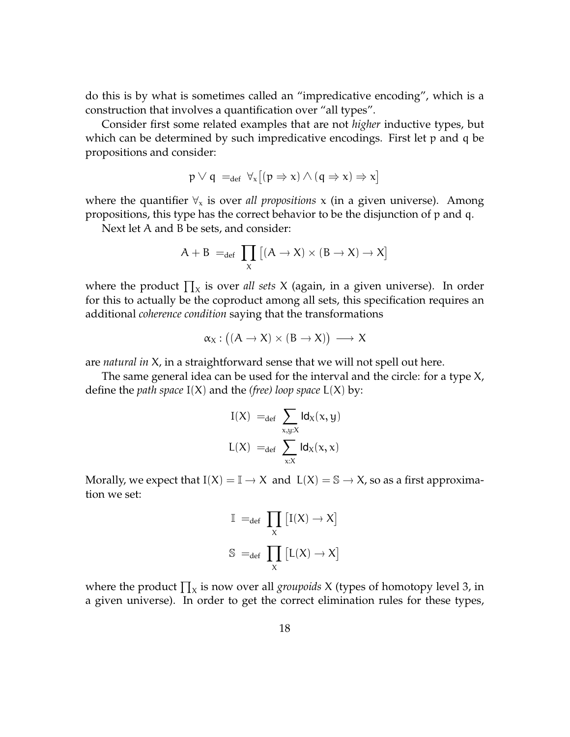do this is by what is sometimes called an "impredicative encoding", which is a construction that involves a quantification over "all types".

Consider first some related examples that are not *higher* inductive types, but which can be determined by such impredicative encodings. First let p and q be propositions and consider:

$$
p \vee q =_{def} \forall_x [(p \Rightarrow x) \wedge (q \Rightarrow x) \Rightarrow x]
$$

where the quantifier  $\forall$ <sub>x</sub> is over *all propositions* x (in a given universe). Among propositions, this type has the correct behavior to be the disjunction of p and q.

Next let A and B be sets, and consider:

$$
A + B =_{def} \prod_{X} [(A \to X) \times (B \to X) \to X]
$$

where the product  $\prod_x$  is over *all sets* X (again, in a given universe). In order for this to actually be the coproduct among all sets, this specification requires an additional *coherence condition* saying that the transformations

$$
\alpha_X: ((A \to X) \times (B \to X)) \longrightarrow X
$$

are *natural in* X, in a straightforward sense that we will not spell out here.

The same general idea can be used for the interval and the circle: for a type X, define the *path space* I(X) and the *(free) loop space* L(X) by:

$$
\begin{array}{l} I(X) \ =_{def} \ \displaystyle \sum_{x,y:X} \text{Id}_X(x,y) \\ \text{L}(X) \ =_{def} \ \displaystyle \sum_{x:X} \text{Id}_X(x,x) \end{array}
$$

Morally, we expect that  $I(X) = \mathbb{I} \to X$  and  $L(X) = \mathbb{S} \to X$ , so as a first approximation we set:

$$
\mathbb{I} \; =_{\text{def}} \; \prod_{X} \big[ I(X) \to X \big]
$$
 
$$
\mathbb{S} \; =_{\text{def}} \; \prod_{X} \big[ L(X) \to X \big]
$$

where the product  $\prod_X$  is now over all *groupoids* X (types of homotopy level 3, in a given universe). In order to get the correct elimination rules for these types,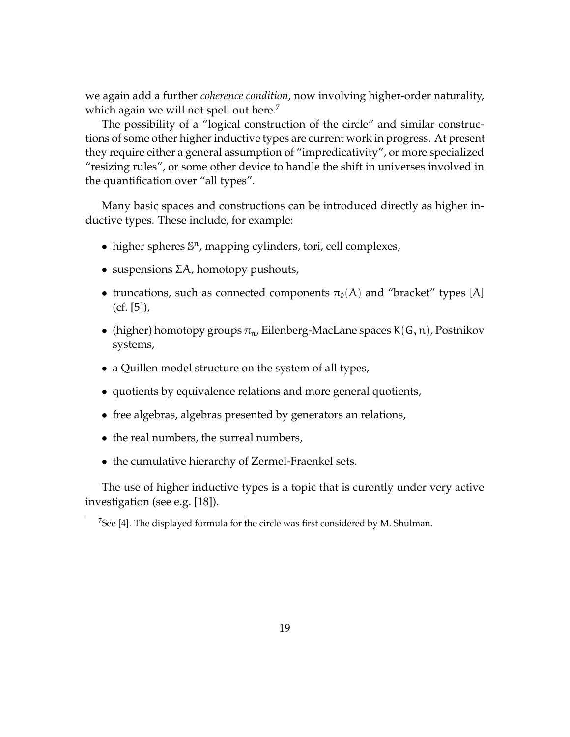we again add a further *coherence condition*, now involving higher-order naturality, which again we will not spell out here.<sup>7</sup>

The possibility of a "logical construction of the circle" and similar constructions of some other higher inductive types are current work in progress. At present they require either a general assumption of "impredicativity", or more specialized "resizing rules", or some other device to handle the shift in universes involved in the quantification over "all types".

Many basic spaces and constructions can be introduced directly as higher inductive types. These include, for example:

- $\bullet$  higher spheres  $\mathbb{S}^n$ , mapping cylinders, tori, cell complexes,
- suspensions  $ΣA$ , homotopy pushouts,
- truncations, such as connected components  $\pi_0(A)$  and "bracket" types [A] (cf. [5]),
- (higher) homotopy groups  $\pi_n$ , Eilenberg-MacLane spaces  $K(G, n)$ , Postnikov systems,
- a Quillen model structure on the system of all types,
- quotients by equivalence relations and more general quotients,
- free algebras, algebras presented by generators an relations,
- the real numbers, the surreal numbers,
- the cumulative hierarchy of Zermel-Fraenkel sets.

The use of higher inductive types is a topic that is curently under very active investigation (see e.g. [18]).

<sup>&</sup>lt;sup>7</sup>See [4]. The displayed formula for the circle was first considered by M. Shulman.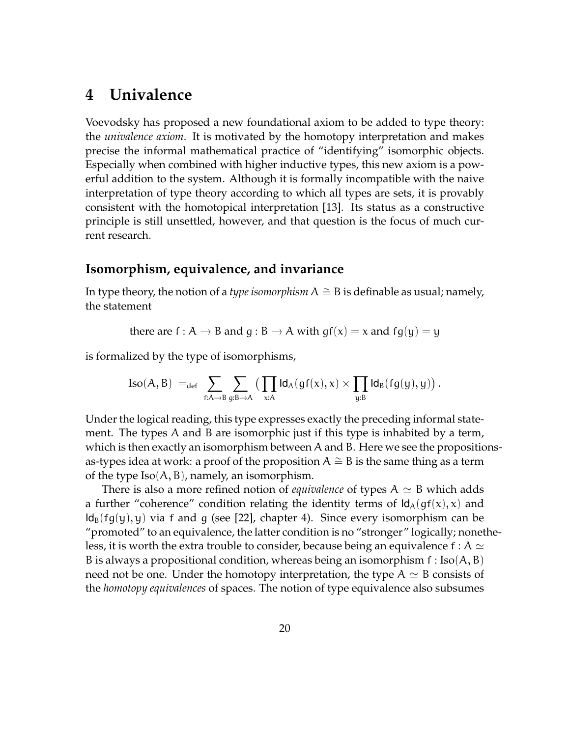# **4 Univalence**

Voevodsky has proposed a new foundational axiom to be added to type theory: the *univalence axiom*. It is motivated by the homotopy interpretation and makes precise the informal mathematical practice of "identifying" isomorphic objects. Especially when combined with higher inductive types, this new axiom is a powerful addition to the system. Although it is formally incompatible with the naive interpretation of type theory according to which all types are sets, it is provably consistent with the homotopical interpretation [13]. Its status as a constructive principle is still unsettled, however, and that question is the focus of much current research.

#### **Isomorphism, equivalence, and invariance**

In type theory, the notion of a *type isomorphism*  $A \cong B$  is definable as usual; namely, the statement

there are  $f : A \rightarrow B$  and  $g : B \rightarrow A$  with  $gf(x) = x$  and  $fg(y) = y$ 

is formalized by the type of isomorphisms,

$$
Iso(A,B) \ =_{def} \ \sum_{f:A \rightarrow B} \sum_{g:B \rightarrow A} \big( \prod_{x:A} \text{Id}_A(gf(x),x) \times \prod_{y:B} \text{Id}_B(fg(y),y) \big) \, .
$$

Under the logical reading, this type expresses exactly the preceding informal statement. The types A and B are isomorphic just if this type is inhabited by a term, which is then exactly an isomorphism between A and B. Here we see the propositionsas-types idea at work: a proof of the proposition  $A \cong B$  is the same thing as a term of the type  $Iso(A, B)$ , namely, an isomorphism.

There is also a more refined notion of *equivalence* of types  $A \simeq B$  which adds a further "coherence" condition relating the identity terms of  $ld_A(gf(x),x)$  and  $\textsf{Id}_B(fg(y), y)$  via f and g (see [22], chapter 4). Since every isomorphism can be "promoted" to an equivalence, the latter condition is no "stronger" logically; nonetheless, it is worth the extra trouble to consider, because being an equivalence f : A  $\simeq$ B is always a propositional condition, whereas being an isomorphism  $f : Iso(A, B)$ need not be one. Under the homotopy interpretation, the type  $A \simeq B$  consists of the *homotopy equivalences* of spaces. The notion of type equivalence also subsumes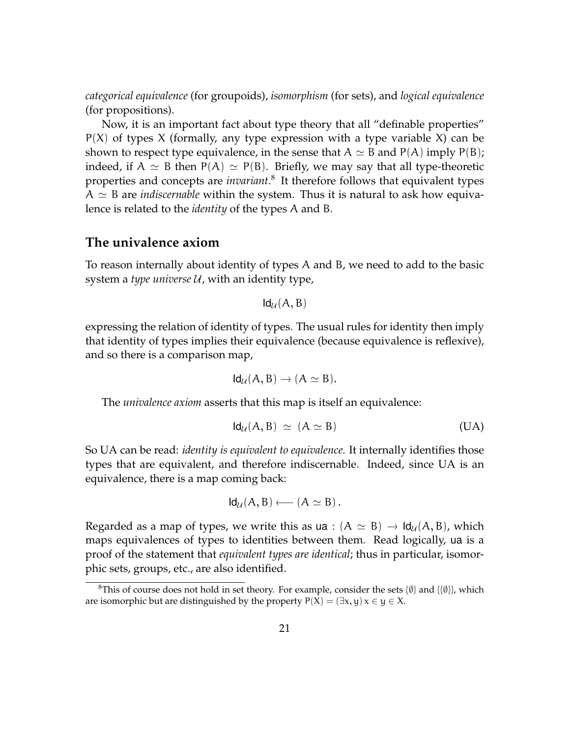*categorical equivalence* (for groupoids), *isomorphism* (for sets), and *logical equivalence* (for propositions).

Now, it is an important fact about type theory that all "definable properties"  $P(X)$  of types X (formally, any type expression with a type variable X) can be shown to respect type equivalence, in the sense that  $A \simeq B$  and  $P(A)$  imply  $P(B)$ ; indeed, if  $A \simeq B$  then  $P(A) \simeq P(B)$ . Briefly, we may say that all type-theoretic properties and concepts are *invariant*. 8 It therefore follows that equivalent types  $A \simeq B$  are *indiscernable* within the system. Thus it is natural to ask how equivalence is related to the *identity* of the types A and B.

#### **The univalence axiom**

To reason internally about identity of types A and B, we need to add to the basic system a *type universe U*, with an identity type,

$$
Id_{\mathcal{U}}(A, B)
$$

expressing the relation of identity of types. The usual rules for identity then imply that identity of types implies their equivalence (because equivalence is reflexive), and so there is a comparison map,

$$
Id_{\mathcal{U}}(A, B) \to (A \simeq B).
$$

The *univalence axiom* asserts that this map is itself an equivalence:

$$
Id_{\mathcal{U}}(A, B) \simeq (A \simeq B) \tag{UA}
$$

So UA can be read: *identity is equivalent to equivalence.* It internally identifies those types that are equivalent, and therefore indiscernable. Indeed, since UA is an equivalence, there is a map coming back:

$$
Id_{\mathcal{U}}(A, B) \longleftarrow (A \simeq B).
$$

Regarded as a map of types, we write this as  $ua : (A \simeq B) \rightarrow Id_{\mathcal{U}}(A, B)$ , which maps equivalences of types to identities between them. Read logically, ua is a proof of the statement that *equivalent types are identical*; thus in particular, isomorphic sets, groups, etc., are also identified.

<sup>&</sup>lt;sup>8</sup>This of course does not hold in set theory. For example, consider the sets  $\{\emptyset\}$  and  $\{\{\emptyset\}\}\$ , which are isomorphic but are distinguished by the property  $P(X) = (\exists x, y) x \in y \in X$ .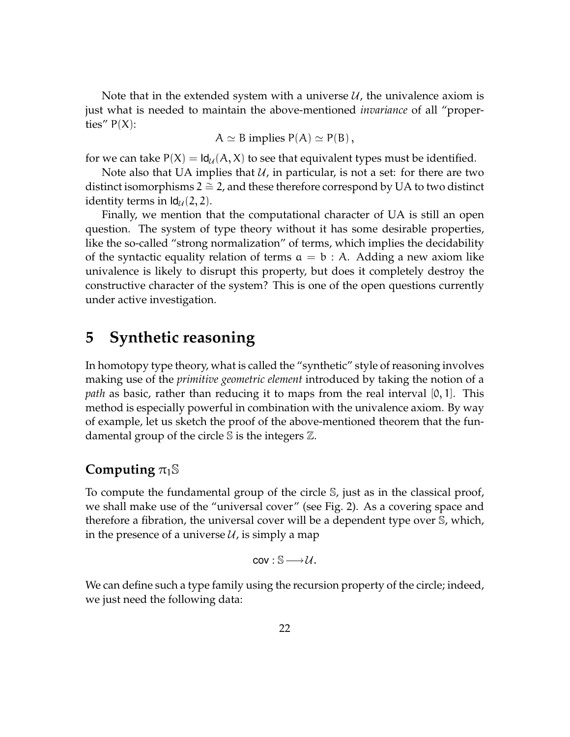Note that in the extended system with a universe  $U$ , the univalence axiom is just what is needed to maintain the above-mentioned *invariance* of all "properties"  $P(X)$ :

$$
A \simeq B \implies P(A) \simeq P(B),
$$

for we can take  $P(X) = Id_{\mathcal{U}}(A, X)$  to see that equivalent types must be identified.

Note also that UA implies that  $\mathcal{U}$ , in particular, is not a set: for there are two distinct isomorphisms 2  $\cong$  2, and these therefore correspond by UA to two distinct identity terms in  $\mathsf{Id}_{\mathcal{U}}(2,2)$ .

Finally, we mention that the computational character of UA is still an open question. The system of type theory without it has some desirable properties, like the so-called "strong normalization" of terms, which implies the decidability of the syntactic equality relation of terms  $a = b : A$ . Adding a new axiom like univalence is likely to disrupt this property, but does it completely destroy the constructive character of the system? This is one of the open questions currently under active investigation.

### **5 Synthetic reasoning**

In homotopy type theory, what is called the "synthetic" style of reasoning involves making use of the *primitive geometric element* introduced by taking the notion of a *path* as basic, rather than reducing it to maps from the real interval [0, 1]. This method is especially powerful in combination with the univalence axiom. By way of example, let us sketch the proof of the above-mentioned theorem that the fundamental group of the circle  $\mathcal S$  is the integers  $\mathbb Z$ .

#### **Computing**  $\pi_1$ S

To compute the fundamental group of the circle S, just as in the classical proof, we shall make use of the "universal cover" (see Fig. 2). As a covering space and therefore a fibration, the universal cover will be a dependent type over S, which, in the presence of a universe  $\mathcal{U}$ , is simply a map

$$
\mathsf{cov} : \mathbb{S} \longrightarrow \mathcal{U}.
$$

We can define such a type family using the recursion property of the circle; indeed, we just need the following data: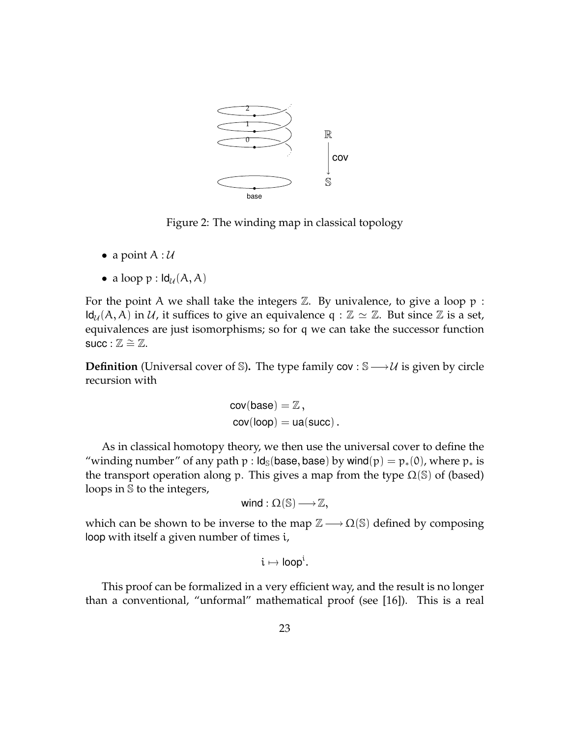

Figure 2: The winding map in classical topology

- a point  $A:U$
- a loop  $p : \text{Id}_{\mathcal{U}}(A, A)$

For the point A we shall take the integers  $\mathbb{Z}$ . By univalence, to give a loop  $p$ :  $\text{Id}_{\mathcal{U}}(A, A)$  in  $\mathcal{U}$ , it suffices to give an equivalence  $q : \mathbb{Z} \simeq \mathbb{Z}$ . But since  $\mathbb{Z}$  is a set, equivalences are just isomorphisms; so for q we can take the successor function succ :  $\mathbb{Z} \cong \mathbb{Z}$ .

**Definition** (Universal cover of S). The type family  $cov : S \rightarrow U$  is given by circle recursion with

$$
cov(base) = \mathbb{Z},
$$
  

$$
cov(loop) = ua(succ).
$$

As in classical homotopy theory, we then use the universal cover to define the "winding number" of any path p :  $\text{Id}_{\mathcal{S}}(\text{base}, \text{base})$  by wind $(p) = p_*(0)$ , where  $p_*$  is the transport operation along p. This gives a map from the type  $\Omega(S)$  of (based) loops in S to the integers,

$$
\text{wind}: \Omega(\mathbb{S}) \longrightarrow \mathbb{Z},
$$

which can be shown to be inverse to the map  $\mathbb{Z} \longrightarrow \Omega(\mathbb{S})$  defined by composing loop with itself a given number of times i,

 $i \mapsto$  loop<sup>i</sup>.

This proof can be formalized in a very efficient way, and the result is no longer than a conventional, "unformal" mathematical proof (see [16]). This is a real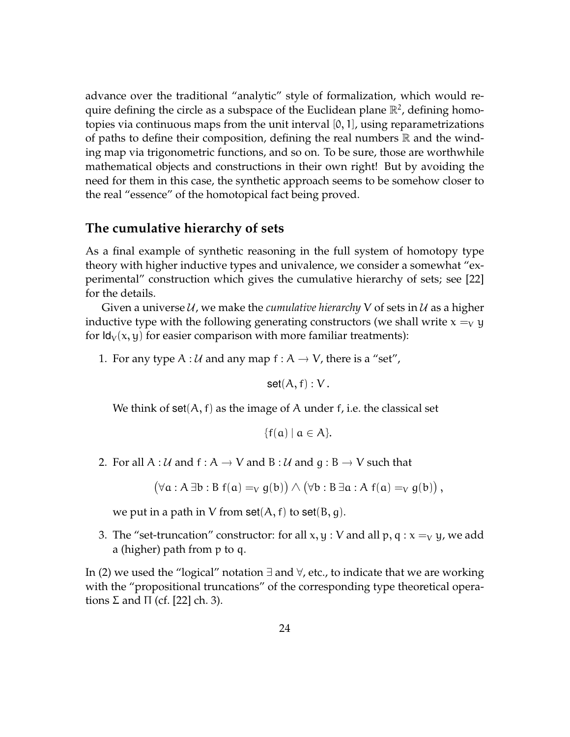advance over the traditional "analytic" style of formalization, which would require defining the circle as a subspace of the Euclidean plane  $\mathbb{R}^2$ , defining homotopies via continuous maps from the unit interval  $[0, 1]$ , using reparametrizations of paths to define their composition, defining the real numbers  $\mathbb R$  and the winding map via trigonometric functions, and so on. To be sure, those are worthwhile mathematical objects and constructions in their own right! But by avoiding the need for them in this case, the synthetic approach seems to be somehow closer to the real "essence" of the homotopical fact being proved.

#### **The cumulative hierarchy of sets**

As a final example of synthetic reasoning in the full system of homotopy type theory with higher inductive types and univalence, we consider a somewhat "experimental" construction which gives the cumulative hierarchy of sets; see [22] for the details.

Given a universe  $U$ , we make the *cumulative hierarchy* V of sets in  $U$  as a higher inductive type with the following generating constructors (we shall write  $x =_V y$ for  $\mathsf{Id}_V(x, y)$  for easier comparison with more familiar treatments):

1. For any type A : U and any map  $f : A \rightarrow V$ , there is a "set",

$$
\mathsf{set}(A,f):V.
$$

We think of  $set(A, f)$  as the image of A under f, i.e. the classical set

$$
\{f(\mathfrak{a}) \mid \mathfrak{a} \in A\}.
$$

2. For all A : U and  $f : A \rightarrow V$  and B : U and  $g : B \rightarrow V$  such that

 $(\forall a : A \exists b : B f(a) =_V g(b)) \wedge (\forall b : B \exists a : A f(a) =_V g(b)),$ 

we put in a path in V from  $set(A, f)$  to  $set(B, g)$ .

3. The "set-truncation" constructor: for all  $x, y : V$  and all  $p, q : x =_V y$ , we add a (higher) path from p to q.

In (2) we used the "logical" notation ∃ and ∀, etc., to indicate that we are working with the "propositional truncations" of the corresponding type theoretical operations  $\Sigma$  and  $\Pi$  (cf. [22] ch. 3).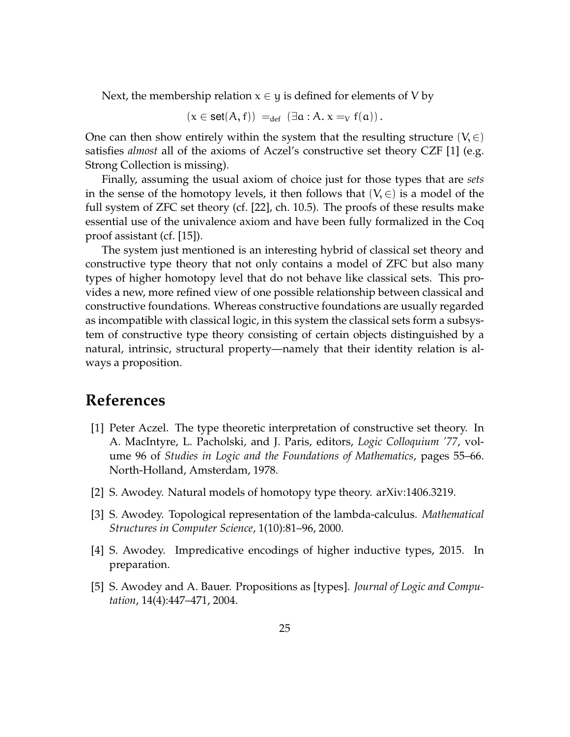Next, the membership relation  $x \in y$  is defined for elements of V by

$$
(\mathsf{x} \in \mathsf{set}(A, f)) =_{\mathsf{def}} (\exists \mathsf{a} : A. \mathsf{x} =_{\mathsf{V}} f(\mathsf{a})).
$$

One can then show entirely within the system that the resulting structure ( $V, \in$ ) satisfies *almost* all of the axioms of Aczel's constructive set theory CZF [1] (e.g. Strong Collection is missing).

Finally, assuming the usual axiom of choice just for those types that are *sets* in the sense of the homotopy levels, it then follows that  $(V, \in)$  is a model of the full system of ZFC set theory (cf. [22], ch. 10.5). The proofs of these results make essential use of the univalence axiom and have been fully formalized in the Coq proof assistant (cf. [15]).

The system just mentioned is an interesting hybrid of classical set theory and constructive type theory that not only contains a model of ZFC but also many types of higher homotopy level that do not behave like classical sets. This provides a new, more refined view of one possible relationship between classical and constructive foundations. Whereas constructive foundations are usually regarded as incompatible with classical logic, in this system the classical sets form a subsystem of constructive type theory consisting of certain objects distinguished by a natural, intrinsic, structural property—namely that their identity relation is always a proposition.

# **References**

- [1] Peter Aczel. The type theoretic interpretation of constructive set theory. In A. MacIntyre, L. Pacholski, and J. Paris, editors, *Logic Colloquium '77*, volume 96 of *Studies in Logic and the Foundations of Mathematics*, pages 55–66. North-Holland, Amsterdam, 1978.
- [2] S. Awodey. Natural models of homotopy type theory. arXiv:1406.3219.
- [3] S. Awodey. Topological representation of the lambda-calculus. *Mathematical Structures in Computer Science*, 1(10):81–96, 2000.
- [4] S. Awodey. Impredicative encodings of higher inductive types, 2015. In preparation.
- [5] S. Awodey and A. Bauer. Propositions as [types]. *Journal of Logic and Computation*, 14(4):447–471, 2004.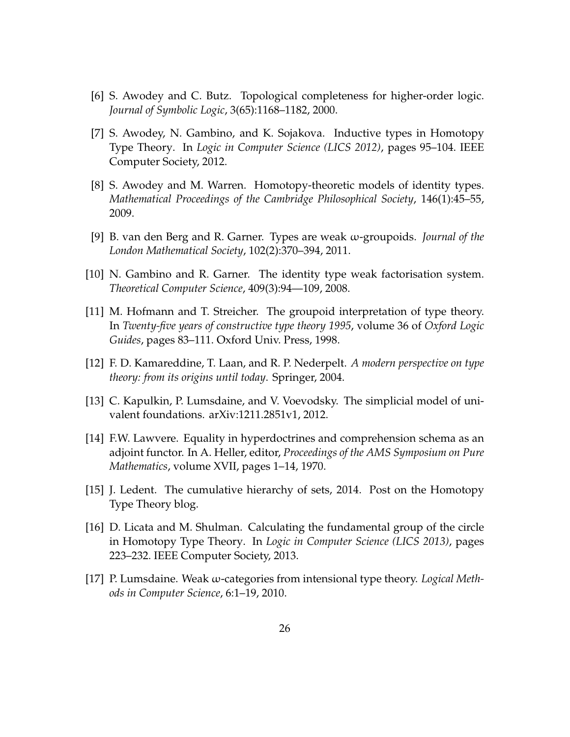- [6] S. Awodey and C. Butz. Topological completeness for higher-order logic. *Journal of Symbolic Logic*, 3(65):1168–1182, 2000.
- [7] S. Awodey, N. Gambino, and K. Sojakova. Inductive types in Homotopy Type Theory. In *Logic in Computer Science (LICS 2012)*, pages 95–104. IEEE Computer Society, 2012.
- [8] S. Awodey and M. Warren. Homotopy-theoretic models of identity types. *Mathematical Proceedings of the Cambridge Philosophical Society*, 146(1):45–55, 2009.
- [9] B. van den Berg and R. Garner. Types are weak ω-groupoids. *Journal of the London Mathematical Society*, 102(2):370–394, 2011.
- [10] N. Gambino and R. Garner. The identity type weak factorisation system. *Theoretical Computer Science*, 409(3):94—109, 2008.
- [11] M. Hofmann and T. Streicher. The groupoid interpretation of type theory. In *Twenty-five years of constructive type theory 1995*, volume 36 of *Oxford Logic Guides*, pages 83–111. Oxford Univ. Press, 1998.
- [12] F. D. Kamareddine, T. Laan, and R. P. Nederpelt. *A modern perspective on type theory: from its origins until today*. Springer, 2004.
- [13] C. Kapulkin, P. Lumsdaine, and V. Voevodsky. The simplicial model of univalent foundations. arXiv:1211.2851v1, 2012.
- [14] F.W. Lawvere. Equality in hyperdoctrines and comprehension schema as an adjoint functor. In A. Heller, editor, *Proceedings of the AMS Symposium on Pure Mathematics*, volume XVII, pages 1–14, 1970.
- [15] J. Ledent. The cumulative hierarchy of sets, 2014. Post on the Homotopy Type Theory blog.
- [16] D. Licata and M. Shulman. Calculating the fundamental group of the circle in Homotopy Type Theory. In *Logic in Computer Science (LICS 2013)*, pages 223–232. IEEE Computer Society, 2013.
- [17] P. Lumsdaine. Weak ω-categories from intensional type theory. *Logical Methods in Computer Science*, 6:1–19, 2010.